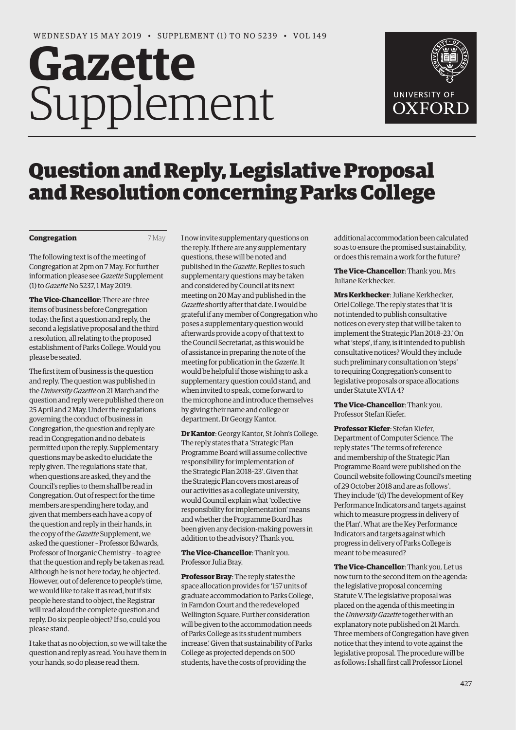# **Gazette** Supplement



## Question and Reply, Legislative Proposal and Resolution concerning Parks College

#### **Congregation** 7 May

The following text is of the meeting of Congregation at 2pm on 7 May. For further [information please see](https://gazette.web.ox.ac.uk/sites/default/files/gazette/documents/media/congregation_-_1_to_no_5237.pdf) *Gazette* Supplement (1) to *Gazette* No 5237, 1 May 2019.

**The Vice-Chancellor**: There are three items of business before Congregation today: the first a question and reply, the second a legislative proposal and the third a resolution, all relating to the proposed establishment of Parks College. Would you please be seated.

The first item of business is the question and reply. The question was published in the *[University Gazette](https://gazette.web.ox.ac.uk/sites/default/files/gazette/documents/media/21_march_2019_-_no_5236_redacted.pdf#page=3)* on 21 March and the question and reply were published there on [25 April and 2 May.](https://gazette.web.ox.ac.uk/sites/default/files/gazette/documents/media/25_april_2019_-_no_5237_redacted.pdf#page=3) Under the regulations governing the conduct of business in Congregation, the question and reply are read in Congregation and no debate is permitted upon the reply. Supplementary questions may be asked to elucidate the reply given. The regulations state that, when questions are asked, they and the Council's replies to them shall be read in Congregation. Out of respect for the time members are spending here today, and given that members each have a copy of the question and reply in their hands, in the copy of the *Gazette* [Supplement, w](https://gazette.web.ox.ac.uk/sites/default/files/gazette/documents/media/congregation_-_1_to_no_5237.pdf)e asked the questioner *–* Professor Edwards, Professor of Inorganic Chemistry *–* to agree that the question and reply be taken as read. Although he is not here today, he objected. However, out of deference to people's time, we would like to take it as read, but if six people here stand to object, the Registrar will read aloud the complete question and reply. Do six people object? If so, could you please stand.

I take that as no objection, so we will take the question and reply as read. You have them in your hands, so do please read them.

I now invite supplementary questions on the reply. If there are any supplementary questions, these will be noted and published in the *Gazette*. Replies to such supplementary questions may be taken and considered by Council at its next meeting on 20 May and published in the *Gazette* shortly after that date. I would be grateful if any member of Congregation who poses a supplementary question would afterwards provide a copy of that text to the Council Secretariat, as this would be of assistance in preparing the note of the meeting for publication in the *Gazette*. It would be helpful if those wishing to ask a supplementary question could stand, and when invited to speak, come forward to the microphone and introduce themselves by giving their name and college or department. Dr Georgy Kantor.

**Dr Kantor**: Georgy Kantor, St John's College. The reply states that a 'Strategic Plan Programme Board will assume collective responsibility for implementation of the [Strategic Plan 2018–23'.](https://search.ox.ac.uk/s/redirect?collection=oxford-meta&url=https%3A%2F%2Fgazette.web.ox.ac.uk%2Ffiles%2Funiversityofoxfordstrategicplan2018-23-2tono5216pdf&index_url=https%3A%2F%2Fgazette.web.ox.ac.uk%2Ffiles%2Funiversityofoxfordstrategicplan2018-23-2tono5216pdf&auth=czjyxlBdoy7RX%2B8bd60GBg&profile=gazette&rank=1&query=strategic+plan+2018-) Given that the Strategic Plan covers most areas of our activities as a collegiate university, would Council explain what 'collective responsibility for implementation' means and whether the Programme Board has been given any decision-making powers in addition to the advisory? Thank you.

**The Vice-Chancellor**: Thank you. Professor Julia Bray.

**Professor Bray**: The reply states the space allocation provides for '157 units of graduate accommodation to Parks College, in Farndon Court and the redeveloped Wellington Square. Further consideration will be given to the accommodation needs of Parks College as its student numbers increase.' Given that sustainability of Parks College as projected depends on 500 students, have the costs of providing the

additional accommodation been calculated so as to ensure the promised sustainability, or does this remain a work for the future?

**The Vice-Chancellor**: Thank you. Mrs Juliane Kerkhecker.

**Mrs Kerkhecker**: Juliane Kerkhecker, Oriel College. The reply states that 'it is not intended to publish consultative notices on every step that will be taken to implement the Strategic Plan 2018–23.' On what 'steps', if any, is it intended to publish consultative notices? Would they include such preliminary consultation on 'steps' to requiring Congregation's consent to legislative proposals or space allocations under Statute XVI A 4?

**The Vice-Chancellor**: Thank you. Professor Stefan Kiefer.

**Professor Kiefer**: Stefan Kiefer, Department of Computer Science. The reply states 'The terms of reference and membership of the Strategic Plan Programme Board were published on the Council website following Council's meeting of 29 October 2018 and are as follows'. They include '(d) The development of Key Performance Indicators and targets against which to measure progress in delivery of the Plan'. What are the Key Performance Indicators and targets against which progress in delivery of Parks College is meant to be measured?

**The Vice-Chancellor**: Thank you. Let us now turn to the second item on the agenda: the legislative proposal concerning Statute V. The legislative proposal was placed on the agenda of this meeting in the *University Gazette* together with an [explanatory note published on 21 March.](https://gazette.web.ox.ac.uk/sites/default/files/gazette/documents/media/21_march_2019_-_no_5236_redacted.pdf#page=4)  Three members of Congregation have given notice that they intend to vote against the legislative proposal. The procedure will be as follows: I shall first call Professor Lionel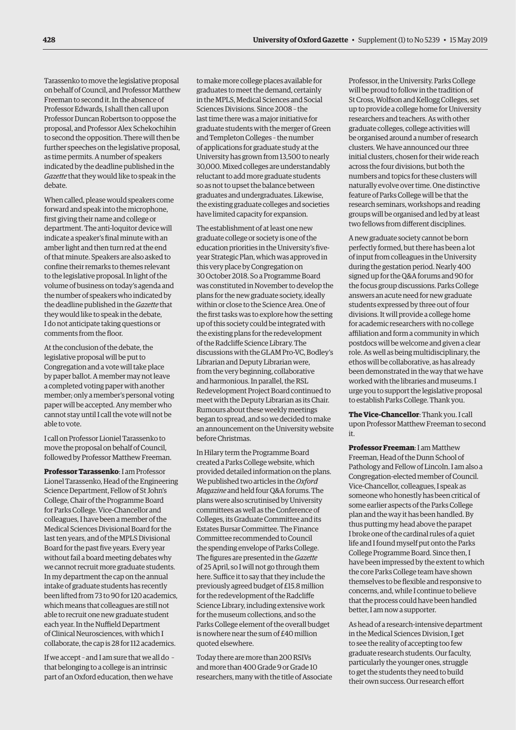Tarassenko to move the legislative proposal on behalf of Council, and Professor Matthew Freeman to second it. In the absence of Professor Edwards, I shall then call upon Professor Duncan Robertson to oppose the proposal, and Professor Alex Schekochihin to second the opposition. There will then be further speeches on the legislative proposal, as time permits. A number of speakers indicated by the deadline published in the *Gazette* that they would like to speak in the debate.

When called, please would speakers come forward and speak into the microphone, first giving their name and college or department. The anti-loquitor device will indicate a speaker's final minute with an amber light and then turn red at the end of that minute. Speakers are also asked to confine their remarks to themes relevant to the legislative proposal. In light of the volume of business on today's agenda and the number of speakers who indicated by the deadline published in the *Gazette* that they would like to speak in the debate, I do not anticipate taking questions or comments from the floor.

At the conclusion of the debate, the legislative proposal will be put to Congregation and a vote will take place by paper ballot. A member may not leave a completed voting paper with another member; only a member's personal voting paper will be accepted. Any member who cannot stay until I call the vote will not be able to vote.

I call on Professor Lioniel Tarassenko to move the proposal on behalf of Council, followed by Professor Matthew Freeman.

**Professor Tarassenko**: I am Professor Lionel Tarassenko, Head of the Engineering Science Department, Fellow of St John's College, Chair of the Programme Board for Parks College. Vice-Chancellor and colleagues, I have been a member of the Medical Sciences Divisional Board for the last ten years, and of the MPLS Divisional Board for the past five years. Every year without fail a board meeting debates why we cannot recruit more graduate students. In my department the cap on the annual intake of graduate students has recently been lifted from 73 to 90 for 120 academics, which means that colleagues are still not able to recruit one new graduate student each year. In the Nuffield Department of Clinical Neurosciences, with which I collaborate, the cap is 28 for 112 academics.

If we accept *–* and I am sure that we all do *–*  that belonging to a college is an intrinsic part of an Oxford education, then we have

to make more college places available for graduates to meet the demand, certainly in the MPLS, Medical Sciences and Social Sciences Divisions. Since 2008 *–* the last time there was a major initiative for graduate students with the merger of Green and Templeton Colleges *–* the number of applications for graduate study at the University has grown from 13,500 to nearly 30,000. Mixed colleges are understandably reluctant to add more graduate students so as not to upset the balance between graduates and undergraduates. Likewise, the existing graduate colleges and societies have limited capacity for expansion.

The establishment of at least one new graduate college or society is one of the education priorities in the University's fiveyear Strategic Plan, which was approved in this very place by Congregation on 30 October 2018. So a Programme Board was constituted in November to develop the plans for the new graduate society, ideally within or close to the Science Area. One of the first tasks was to explore how the setting up of this society could be integrated with the existing plans for the redevelopment of the Radcliffe Science Library. The discussions with the GLAM Pro-VC, Bodley's Librarian and Deputy Librarian were, from the very beginning, collaborative and harmonious. In parallel, the RSL Redevelopment Project Board continued to meet with the Deputy Librarian as its Chair. Rumours about these weekly meetings began to spread, and so we decided to make an announcement on the University website before Christmas.

In Hilary term the Programme Board created a Parks College website, which provided detailed information on the plans. We published two articles in the *Oxford Magazine* and held four Q&A forums. The plans were also scrutinised by University committees as well as the Conference of Colleges, its Graduate Committee and its Estates Bursar Committee. The Finance Committee recommended to Council the spending envelope of Parks College. The figures are presented in the *Gazette* of 25 April, so I will not go through them here. Suffice it to say that they include the previously agreed budget of £15.8 million for the redevelopment of the Radcliffe Science Library, including extensive work for the museum collections, and so the Parks College element of the overall budget is nowhere near the sum of £40 million quoted elsewhere.

Today there are more than 200 RSIVs and more than 400 Grade 9 or Grade 10 researchers, many with the title of Associate

Professor, in the University. Parks College will be proud to follow in the tradition of St Cross, Wolfson and Kellogg Colleges, set up to provide a college home for University researchers and teachers. As with other graduate colleges, college activities will be organised around a number of research clusters. We have announced our three initial clusters, chosen for their wide reach across the four divisions, but both the numbers and topics for these clusters will naturally evolve over time. One distinctive feature of Parks College will be that the research seminars, workshops and reading groups will be organised and led by at least two fellows from different disciplines.

A new graduate society cannot be born perfectly formed, but there has been a lot of input from colleagues in the University during the gestation period. Nearly 400 signed up for the Q&A forums and 90 for the focus group discussions. Parks College answers an acute need for new graduate students expressed by three out of four divisions. It will provide a college home for academic researchers with no college affiliation and form a community in which postdocs will be welcome and given a clear role. As well as being multidisciplinary, the ethos will be collaborative, as has already been demonstrated in the way that we have worked with the libraries and museums. I urge you to support the legislative proposal to establish Parks College. Thank you.

**The Vice-Chancellor**: Thank you. I call upon Professor Matthew Freeman to second it.

**Professor Freeman**: I am Matthew Freeman, Head of the Dunn School of Pathology and Fellow of Lincoln. I am also a Congregation-elected member of Council. Vice-Chancellor, colleagues, I speak as someone who honestly has been critical of some earlier aspects of the Parks College plan and the way it has been handled. By thus putting my head above the parapet I broke one of the cardinal rules of a quiet life and I found myself put onto the Parks College Programme Board. Since then, I have been impressed by the extent to which the core Parks College team have shown themselves to be flexible and responsive to concerns, and, while I continue to believe that the process could have been handled better, I am now a supporter.

As head of a research-intensive department in the Medical Sciences Division, I get to see the reality of accepting too few graduate research students. Our faculty, particularly the younger ones, struggle to get the students they need to build their own success. Our research effort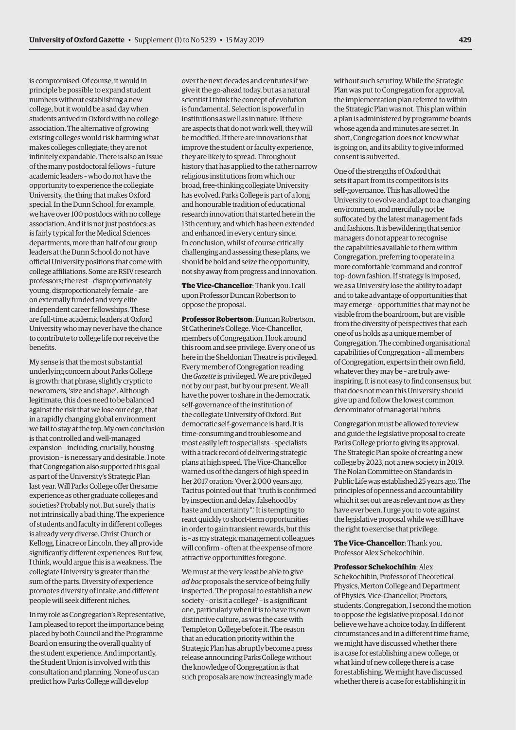is compromised. Of course, it would in principle be possible to expand student numbers without establishing a new college, but it would be a sad day when students arrived in Oxford with no college association. The alternative of growing existing colleges would risk harming what makes colleges collegiate; they are not infinitely expandable. There is also an issue of the many postdoctoral fellows *–* future academic leaders *–* who do not have the opportunity to experience the collegiate University, the thing that makes Oxford special. In the Dunn School, for example, we have over 100 postdocs with no college association. And it is not just postdocs: as is fairly typical for the Medical Sciences departments, more than half of our group leaders at the Dunn School do not have official University positions that come with college affiliations. Some are RSIV research professors; the rest *–* disproportionately young, disproportionately female *–* are on externally funded and very elite independent career fellowships. These are full-time academic leaders at Oxford University who may never have the chance to contribute to college life nor receive the benefits.

My sense is that the most substantial underlying concern about Parks College is growth: that phrase, slightly cryptic to newcomers, 'size and shape'. Although legitimate, this does need to be balanced against the risk that we lose our edge, that in a rapidly changing global environment we fail to stay at the top. My own conclusion is that controlled and well-managed expansion *–* including, crucially, housing provision *–* is necessary and desirable. I note that Congregation also supported this goal as part of the University's Strategic Plan last year. Will Parks College offer the same experience as other graduate colleges and societies? Probably not. But surely that is not intrinsically a bad thing. The experience of students and faculty in different colleges is already very diverse. Christ Church or Kellogg, Linacre or Lincoln, they all provide significantly different experiences. But few, I think, would argue this is a weakness. The collegiate University is greater than the sum of the parts. Diversity of experience promotes diversity of intake, and different people will seek different niches.

In my role as Congregation's Representative, I am pleased to report the importance being placed by both Council and the Programme Board on ensuring the overall quality of the student experience. And importantly, the Student Union is involved with this consultation and planning. None of us can predict how Parks College will develop

over the next decades and centuries if we give it the go-ahead today, but as a natural scientist I think the concept of evolution is fundamental. Selection is powerful in institutions as well as in nature. If there are aspects that do not work well, they will be modified. If there are innovations that improve the student or faculty experience, they are likely to spread. Throughout history that has applied to the rather narrow religious institutions from which our broad, free-thinking collegiate University has evolved. Parks College is part of a long and honourable tradition of educational research innovation that started here in the 13th century, and which has been extended and enhanced in every century since. In conclusion, whilst of course critically challenging and assessing these plans, we should be bold and seize the opportunity, not shy away from progress and innovation.

**The Vice-Chancellor**: Thank you. I call upon Professor Duncan Robertson to oppose the proposal.

**Professor Robertson**: Duncan Robertson, St Catherine's College. Vice-Chancellor, members of Congregation, I look around this room and see privilege. Every one of us here in the Sheldonian Theatre is privileged. Every member of Congregation reading the *Gazette* is privileged. We are privileged not by our past, but by our present. We all have the power to share in the democratic self-governance of the institution of the collegiate University of Oxford. But democratic self-governance is hard. It is time-consuming and troublesome and most easily left to specialists *–* specialists with a track record of delivering strategic plans at high speed. The Vice-Chancellor warned us of the dangers of high speed in her 2017 oration: 'Over 2,000 years ago, Tacitus pointed out that "truth is confirmed by inspection and delay, falsehood by haste and uncertainty".' It is tempting to react quickly to short-term opportunities in order to gain transient rewards, but this is *–* as my strategic management colleagues will confirm *–* often at the expense of more attractive opportunities foregone.

We must at the very least be able to give *ad hoc* proposals the service of being fully inspected. The proposal to establish a new society *–* or is it a college? *–* is a significant one, particularly when it is to have its own distinctive culture, as was the case with Templeton College before it. The reason that an education priority within the Strategic Plan has abruptly become a press release announcing Parks College without the knowledge of Congregation is that such proposals are now increasingly made

without such scrutiny. While the Strategic Plan was put to Congregation for approval, the implementation plan referred to within the Strategic Plan was not. This plan within a plan is administered by programme boards whose agenda and minutes are secret. In short, Congregation does not know what is going on, and its ability to give informed consent is subverted.

One of the strengths of Oxford that sets it apart from its competitors is its self-governance. This has allowed the University to evolve and adapt to a changing environment, and mercifully not be suffocated by the latest management fads and fashions. It is bewildering that senior managers do not appear to recognise the capabilities available to them within Congregation, preferring to operate in a more comfortable 'command and control' top–down fashion. If strategy is imposed, we as a University lose the ability to adapt and to take advantage of opportunities that may emerge *–* opportunities that may not be visible from the boardroom, but are visible from the diversity of perspectives that each one of us holds as a unique member of Congregation. The combined organisational capabilities of Congregation *–* all members of Congregation, experts in their own field, whatever they may be *–* are truly aweinspiring. It is not easy to find consensus, but that does not mean this University should give up and follow the lowest common denominator of managerial hubris.

Congregation must be allowed to review and guide the legislative proposal to create Parks College prior to giving its approval. The Strategic Plan spoke of creating a new college by 2023, not a new society in 2019. The Nolan Committee on Standards in Public Life was established 25 years ago. The principles of openness and accountability which it set out are as relevant now as they have ever been. I urge you to vote against the legislative proposal while we still have the right to exercise that privilege.

**The Vice-Chancellor**: Thank you. Professor Alex Schekochihin.

**Professor Schekochihin**: Alex Schekochihin, Professor of Theoretical Physics, Merton College and Department of Physics. Vice-Chancellor, Proctors, students, Congregation, I second the motion to oppose the legislative proposal. I do not believe we have a choice today. In different circumstances and in a different time frame, we might have discussed whether there is a case for establishing a new college, or what kind of new college there is a case for establishing. We might have discussed whether there is a case for establishing it in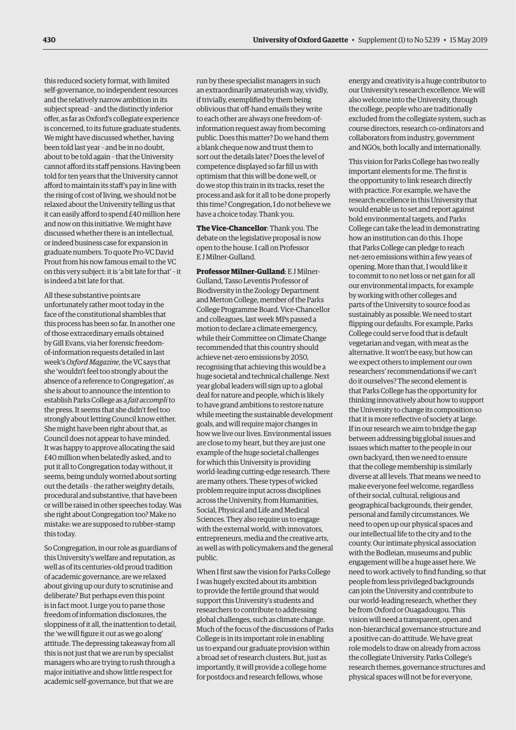this reduced society format, with limited self-governance, no independent resources and the relatively narrow ambition in its subject spread *–* and the distinctly inferior offer, as far as Oxford's collegiate experience is concerned, to its future graduate students. We might have discussed whether, having been told last year *–* and be in no doubt, about to be told again *–* that the University cannot afford its staff pensions. Having been told for ten years that the University cannot afford to maintain its staff's pay in line with the rising of cost of living, we should not be relaxed about the University telling us that it can easily afford to spend £40 million here and now on this initiative. We might have discussed whether there is an intellectual, or indeed business case for expansion in graduate numbers. To quote Pro-VC David Prout from his now famous email to the VC on this very subject: it is 'a bit late for that' *–* it is indeed a bit late for that.

All these substantive points are unfortunately rather moot today in the face of the constitutional shambles that this process has been so far. In another one of those extraordinary emails obtained by Gill Evans, via her forensic freedomof-information requests detailed in last week's *Oxford Magazine*, the VC says that she 'wouldn't feel too strongly about the absence of a reference to Congregation', as she is about to announce the intention to establish Parks College as a *fait accompli* to the press. It seems that she didn't feel too strongly about letting Council know either. She might have been right about that, as Council does not appear to have minded. It was happy to approve allocating the said £40 million when belatedly asked, and to put it all to Congregation today without, it seems, being unduly worried about sorting out the details *–* the rather weighty details, procedural and substantive, that have been or will be raised in other speeches today. Was she right about Congregation too? Make no mistake: we are supposed to rubber-stamp this today.

So Congregation, in our role as guardians of this University's welfare and reputation, as well as of its centuries-old proud tradition of academic governance, are we relaxed about giving up our duty to scrutinise and deliberate? But perhaps even this point is in fact moot. I urge you to parse those freedom of information disclosures, the sloppiness of it all, the inattention to detail, the 'we will figure it out as we go along' attitude. The depressing takeaway from all this is not just that we are run by specialist managers who are trying to rush through a major initiative and show little respect for academic self-governance, but that we are

run by these specialist managers in such an extraordinarily amateurish way, vividly, if trivially, exemplified by them being oblivious that off-hand emails they write to each other are always one freedom-ofinformation request away from becoming public. Does this matter? Do we hand them a blank cheque now and trust them to sort out the details later? Does the level of competence displayed so far fill us with optimism that this will be done well, or do we stop this train in its tracks, reset the process and ask for it all to be done properly this time? Congregation, I do not believe we have a choice today. Thank you.

**The Vice-Chancellor**: Thank you. The debate on the legislative proposal is now open to the house. I call on Professor E J Milner-Gulland.

**Professor Milner-Gulland**: E J Milner-Gulland, Tasso Leventis Professor of Biodiversity in the Zoology Department and Merton College, member of the Parks College Programme Board. Vice-Chancellor and colleagues, last week MPs passed a motion to declare a climate emergency, while their Committee on Climate Change recommended that this country should achieve net-zero emissions by 2050, recognising that achieving this would be a huge societal and technical challenge. Next year global leaders will sign up to a global deal for nature and people, which is likely to have grand ambitions to restore nature while meeting the sustainable development goals, and will require major changes in how we live our lives. Environmental issues are close to my heart, but they are just one example of the huge societal challenges for which this University is providing world-leading cutting-edge research. There are many others. These types of wicked problem require input across disciplines across the University, from Humanities, Social, Physical and Life and Medical Sciences. They also require us to engage with the external world, with innovators, entrepreneurs, media and the creative arts, as well as with policymakers and the general public.

When I first saw the vision for Parks College I was hugely excited about its ambition to provide the fertile ground that would support this University's students and researchers to contribute to addressing global challenges, such as climate change. Much of the focus of the discussions of Parks College is in its important role in enabling us to expand our graduate provision within a broad set of research clusters. But, just as importantly, it will provide a college home for postdocs and research fellows, whose

energy and creativity is a huge contributor to our University's research excellence. We will also welcome into the University, through the college, people who are traditionally excluded from the collegiate system, such as course directors, research co-ordinators and collaborators from industry, government and NGOs, both locally and internationally.

This vision for Parks College has two really important elements for me. The first is the opportunity to link research directly with practice. For example, we have the research excellence in this University that would enable us to set and report against bold environmental targets, and Parks College can take the lead in demonstrating how an institution can do this. I hope that Parks College can pledge to reach net-zero emissions within a few years of opening. More than that, I would like it to commit to no net loss or net gain for all our environmental impacts, for example by working with other colleges and parts of the University to source food as sustainably as possible. We need to start flipping our defaults. For example, Parks College could serve food that is default vegetarian and vegan, with meat as the alternative. It won't be easy, but how can we expect others to implement our own researchers' recommendations if we can't do it ourselves? The second element is that Parks College has the opportunity for thinking innovatively about how to support the University to change its composition so that it is more reflective of society at large. If in our research we aim to bridge the gap between addressing big global issues and issues which matter to the people in our own backyard, then we need to ensure that the college membership is similarly diverse at all levels. That means we need to make everyone feel welcome, regardless of their social, cultural, religious and geographical backgrounds, their gender, personal and family circumstances. We need to open up our physical spaces and our intellectual life to the city and to the county. Our intimate physical association with the Bodleian, museums and public engagement will be a huge asset here. We need to work actively to find funding, so that people from less privileged backgrounds can join the University and contribute to our world-leading research, whether they be from Oxford or Ouagadougou. This vision will need a transparent, open and non-hierarchical governance structure and a positive can-do attitude. We have great role models to draw on already from across the collegiate University. Parks College's research themes, governance structures and physical spaces will not be for everyone,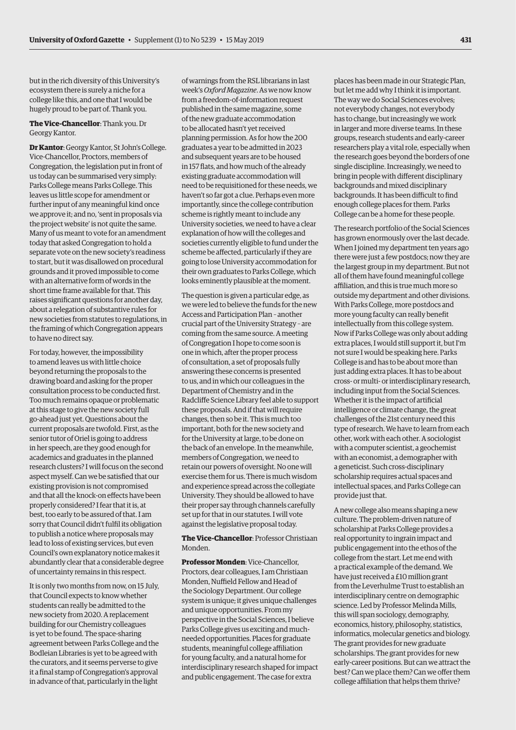but in the rich diversity of this University's ecosystem there is surely a niche for a college like this, and one that I would be hugely proud to be part of. Thank you.

#### **The Vice-Chancellor**: Thank you. Dr Georgy Kantor.

**Dr Kantor**: Georgy Kantor, St John's College. Vice-Chancellor, Proctors, members of Congregation, the legislation put in front of us today can be summarised very simply: Parks College means Parks College. This leaves us little scope for amendment or further input of any meaningful kind once we approve it; and no, 'sent in proposals via the project website' is not quite the same. Many of us meant to vote for an amendment today that asked Congregation to hold a separate vote on the new society's readiness to start, but it was disallowed on procedural grounds and it proved impossible to come with an alternative form of words in the short time frame available for that. This raises significant questions for another day, about a relegation of substantive rules for new societies from statutes to regulations, in the framing of which Congregation appears to have no direct say.

For today, however, the impossibility to amend leaves us with little choice beyond returning the proposals to the drawing board and asking for the proper consultation process to be conducted first. Too much remains opaque or problematic at this stage to give the new society full go-ahead just yet. Questions about the current proposals are twofold. First, as the senior tutor of Oriel is going to address in her speech, are they good enough for academics and graduates in the planned research clusters? I will focus on the second aspect myself. Can we be satisfied that our existing provision is not compromised and that all the knock-on effects have been properly considered? I fear that it is, at best, too early to be assured of that. I am sorry that Council didn't fulfil its obligation to publish a notice where proposals may lead to loss of existing services, but even Council's own explanatory notice makes it abundantly clear that a considerable degree of uncertainty remains in this respect.

It is only two months from now, on 15 July, that Council expects to know whether students can really be admitted to the new society from 2020. A replacement building for our Chemistry colleagues is yet to be found. The space-sharing agreement between Parks College and the Bodleian Libraries is yet to be agreed with the curators, and it seems perverse to give it a final stamp of Congregation's approval in advance of that, particularly in the light

of warnings from the RSL librarians in last week's *Oxford Magazine*. As we now know from a freedom-of-information request published in the same magazine, some of the new graduate accommodation to be allocated hasn't yet received planning permission. As for how the 200 graduates a year to be admitted in 2023 and subsequent years are to be housed in 157 flats, and how much of the already existing graduate accommodation will need to be requisitioned for these needs, we haven't so far got a clue. Perhaps even more importantly, since the college contribution scheme is rightly meant to include any University societies, we need to have a clear explanation of how will the colleges and societies currently eligible to fund under the scheme be affected, particularly if they are going to lose University accommodation for their own graduates to Parks College, which looks eminently plausible at the moment.

The question is given a particular edge, as we were led to believe the funds for the new Access and Participation Plan *–* another crucial part of the University Strategy *–* are coming from the same source. A meeting of Congregation I hope to come soon is one in which, after the proper process of consultation, a set of proposals fully answering these concerns is presented to us, and in which our colleagues in the Department of Chemistry and in the Radcliffe Science Library feel able to support these proposals. And if that will require changes, then so be it. This is much too important, both for the new society and for the University at large, to be done on the back of an envelope. In the meanwhile, members of Congregation, we need to retain our powers of oversight. No one will exercise them for us. There is much wisdom and experience spread across the collegiate University. They should be allowed to have their proper say through channels carefully set up for that in our statutes. I will vote against the legislative proposal today.

**The Vice-Chancellor**: Professor Christiaan Monden.

**Professor Monden**: Vice-Chancellor, Proctors, dear colleagues, I am Christiaan Monden, Nuffield Fellow and Head of the Sociology Department. Our college system is unique; it gives unique challenges and unique opportunities. From my perspective in the Social Sciences, I believe Parks College gives us exciting and muchneeded opportunities. Places for graduate students, meaningful college affiliation for young faculty, and a natural home for interdisciplinary research shaped for impact and public engagement. The case for extra

places has been made in our Strategic Plan, but let me add why I think it is important. The way we do Social Sciences evolves; not everybody changes, not everybody has to change, but increasingly we work in larger and more diverse teams. In these groups, research students and early-career researchers play a vital role, especially when the research goes beyond the borders of one single discipline. Increasingly, we need to bring in people with different disciplinary backgrounds and mixed disciplinary backgrounds. It has been difficult to find enough college places for them. Parks College can be a home for these people.

The research portfolio of the Social Sciences has grown enormously over the last decade. When I joined my department ten years ago there were just a few postdocs; now they are the largest group in my department. But not all of them have found meaningful college affiliation, and this is true much more so outside my department and other divisions. With Parks College, more postdocs and more young faculty can really benefit intellectually from this college system. Now if Parks College was only about adding extra places, I would still support it, but I'm not sure I would be speaking here. Parks College is and has to be about more than just adding extra places. It has to be about cross- or multi- or interdisciplinary research, including input from the Social Sciences. Whether it is the impact of artificial intelligence or climate change, the great challenges of the 21st century need this type of research. We have to learn from each other, work with each other. A sociologist with a computer scientist, a geochemist with an economist, a demographer with a geneticist. Such cross-disciplinary scholarship requires actual spaces and intellectual spaces, and Parks College can provide just that.

A new college also means shaping a new culture. The problem-driven nature of scholarship at Parks College provides a real opportunity to ingrain impact and public engagement into the ethos of the college from the start. Let me end with a practical example of the demand. We have just received a £10 million grant from the Leverhulme Trust to establish an interdisciplinary centre on demographic science. Led by Professor Melinda Mills, this will span sociology, demography, economics, history, philosophy, statistics, informatics, molecular genetics and biology. The grant provides for new graduate scholarships. The grant provides for new early-career positions. But can we attract the best? Can we place them? Can we offer them college affiliation that helps them thrive?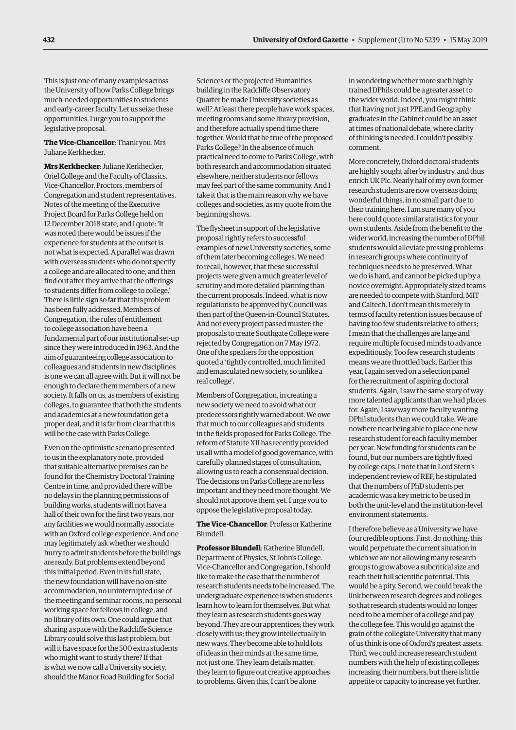This is just one of many examples across the University of how Parks College brings much-needed opportunities to students and early-career faculty. Let us seize these opportunities. I urge you to support the legislative proposal.

**The Vice-Chancellor**: Thank you. Mrs Juliane Kerkhecker.

**Mrs Kerkhecker**: Juliane Kerkhecker, Oriel College and the Faculty of Classics. Vice-Chancellor, Proctors, members of Congregation and student representatives. Notes of the meeting of the Executive Project Board for Parks College held on 12 December 2018 state, and I quote: 'It was noted there would be issues if the experience for students at the outset is not what is expected. A parallel was drawn with overseas students who do not specify a college and are allocated to one, and then find out after they arrive that the offerings to students differ from college to college.' There is little sign so far that this problem has been fully addressed. Members of Congregation, the rules of entitlement to college association have been a fundamental part of our institutional set-up since they were introduced in 1963. And the aim of guaranteeing college association to colleagues and students in new disciplines is one we can all agree with. But it will not be enough to declare them members of a new society. It falls on us, as members of existing colleges, to guarantee that both the students and academics at a new foundation get a proper deal, and it is far from clear that this will be the case with Parks College.

Even on the optimistic scenario presented to us in the explanatory note, provided that suitable alternative premises can be found for the Chemistry Doctoral Training Centre in time, and provided there will be no delays in the planning permissions of building works, students will not have a hall of their own for the first two years, nor any facilities we would normally associate with an Oxford college experience. And one may legitimately ask whether we should hurry to admit students before the buildings are ready. But problems extend beyond this initial period. Even in its full state, the new foundation will have no on-site accommodation, no uninterrupted use of the meeting and seminar rooms, no personal working space for fellows in college, and no library of its own. One could argue that sharing a space with the Radcliffe Science Library could solve this last problem, but will it have space for the 500 extra students who might want to study there? If that is what we now call a University society, should the Manor Road Building for Social

Sciences or the projected Humanities building in the Radcliffe Observatory Quarter be made University societies as well? At least there people have work spaces, meeting rooms and some library provision, and therefore actually spend time there together. Would that be true of the proposed Parks College? In the absence of much practical need to come to Parks College, with both research and accommodation situated elsewhere, neither students nor fellows may feel part of the same community. And I take it that is the main reason why we have colleges and societies, as my quote from the beginning shows.

The flysheet in support of the legislative proposal rightly refers to successful examples of new University societies, some of them later becoming colleges. We need to recall, however, that these successful projects were given a much greater level of scrutiny and more detailed planning than the current proposals. Indeed, what is now regulations to be approved by Council was then part of the Queen-in-Council Statutes. And not every project passed muster: the proposals to create Southgate College were rejected by Congregation on 7 May 1972. One of the speakers for the opposition quoted a 'tightly controlled, much limited and emasculated new society, so unlike a real college'.

Members of Congregation, in creating a new society we need to avoid what our predecessors rightly warned about. We owe that much to our colleagues and students in the fields proposed for Parks College. The reform of Statute XII has recently provided us all with a model of good governance, with carefully planned stages of consultation, allowing us to reach a consensual decision. The decisions on Parks College are no less important and they need more thought. We should not approve them yet. I urge you to oppose the legislative proposal today.

**The Vice-Chancellor**: Professor Katherine Blundell.

**Professor Blundell**: Katherine Blundell, Department of Physics, St John's College. Vice-Chancellor and Congregation, I should like to make the case that the number of research students needs to be increased. The undergraduate experience is when students learn how to learn for themselves. But what they learn as research students goes way beyond. They are our apprentices; they work closely with us; they grow intellectually in new ways. They become able to hold lots of ideas in their minds at the same time, not just one. They learn details matter; they learn to figure out creative approaches to problems. Given this, I can't be alone

in wondering whether more such highly trained DPhils could be a greater asset to the wider world. Indeed, you might think that having not just PPE and Geography graduates in the Cabinet could be an asset at times of national debate, where clarity of thinking is needed. I couldn't possibly comment.

More concretely, Oxford doctoral students are highly sought after by industry, and thus enrich UK Plc. Nearly half of my own former research students are now overseas doing wonderful things, in no small part due to their training here. I am sure many of you here could quote similar statistics for your own students. Aside from the benefit to the wider world, increasing the number of DPhil students would alleviate pressing problems in research groups where continuity of techniques needs to be preserved. What we do is hard, and cannot be picked up by a novice overnight. Appropriately sized teams are needed to compete with Stanford, MIT and Caltech. I don't mean this merely in terms of faculty retention issues because of having too few students relative to others; I mean that the challenges are large and require multiple focused minds to advance expeditiously. Too few research students means we are throttled back. Earlier this year, I again served on a selection panel for the recruitment of aspiring doctoral students. Again, I saw the same story of way more talented applicants than we had places for. Again, I saw way more faculty wanting DPhil students than we could take. We are nowhere near being able to place one new research student for each faculty member per year. New funding for students can be found, but our numbers are tightly fixed by college caps. I note that in Lord Stern's independent review of REF, he stipulated that the numbers of PhD students per academic was a key metric to be used in both the unit-level and the institution-level environment statements.

I therefore believe as a University we have four credible options. First, do nothing; this would perpetuate the current situation in which we are not allowing many research groups to grow above a subcritical size and reach their full scientific potential. This would be a pity. Second, we could break the link between research degrees and colleges so that research students would no longer need to be a member of a college and pay the college fee. This would go against the grain of the collegiate University that many of us think is one of Oxford's greatest assets. Third, we could increase research student numbers with the help of existing colleges increasing their numbers, but there is little appetite or capacity to increase yet further.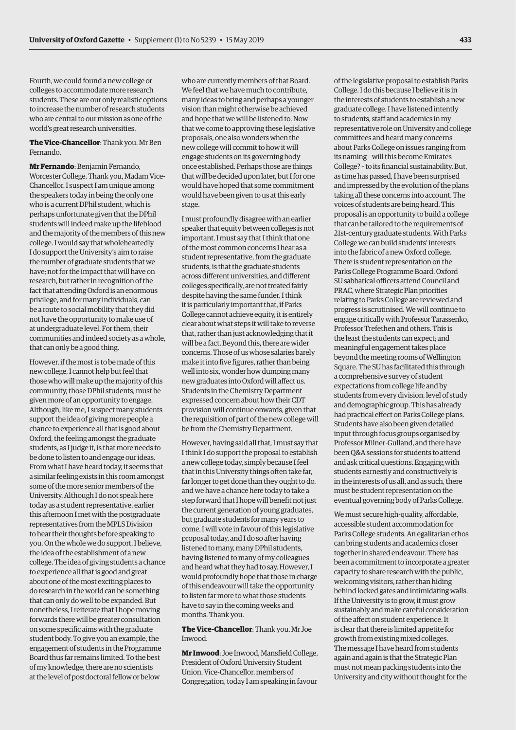Fourth, we could found a new college or colleges to accommodate more research students. These are our only realistic options to increase the number of research students who are central to our mission as one of the world's great research universities.

**The Vice-Chancellor**: Thank you. Mr Ben Fernando.

**Mr Fernando**: Benjamin Fernando, Worcester College. Thank you, Madam Vice-Chancellor. I suspect I am unique among the speakers today in being the only one who is a current DPhil student, which is perhaps unfortunate given that the DPhil students will indeed make up the lifeblood and the majority of the members of this new college. I would say that wholeheartedly I do support the University's aim to raise the number of graduate students that we have; not for the impact that will have on research, but rather in recognition of the fact that attending Oxford is an enormous privilege, and for many individuals, can be a route to social mobility that they did not have the opportunity to make use of at undergraduate level. For them, their communities and indeed society as a whole, that can only be a good thing.

However, if the most is to be made of this new college, I cannot help but feel that those who will make up the majority of this community, those DPhil students, must be given more of an opportunity to engage. Although, like me, I suspect many students support the idea of giving more people a chance to experience all that is good about Oxford, the feeling amongst the graduate students, as I judge it, is that more needs to be done to listen to and engage our ideas. From what I have heard today, it seems that a similar feeling exists in this room amongst some of the more senior members of the University. Although I do not speak here today as a student representative, earlier this afternoon I met with the postgraduate representatives from the MPLS Division to hear their thoughts before speaking to you. On the whole we do support, I believe, the idea of the establishment of a new college. The idea of giving students a chance to experience all that is good and great about one of the most exciting places to do research in the world can be something that can only do well to be expanded. But nonetheless, I reiterate that I hope moving forwards there will be greater consultation on some specific aims with the graduate student body. To give you an example, the engagement of students in the Programme Board thus far remains limited. To the best of my knowledge, there are no scientists at the level of postdoctoral fellow or below

who are currently members of that Board. We feel that we have much to contribute, many ideas to bring and perhaps a younger vision than might otherwise be achieved and hope that we will be listened to. Now that we come to approving these legislative proposals, one also wonders when the new college will commit to how it will engage students on its governing body once established. Perhaps those are things that will be decided upon later, but I for one would have hoped that some commitment would have been given to us at this early stage.

I must profoundly disagree with an earlier speaker that equity between colleges is not important. I must say that I think that one of the most common concerns I hear as a student representative, from the graduate students, is that the graduate students across different universities, and different colleges specifically, are not treated fairly despite having the same funder. I think it is particularly important that, if Parks College cannot achieve equity, it is entirely clear about what steps it will take to reverse that, rather than just acknowledging that it will be a fact. Beyond this, there are wider concerns. Those of us whose salaries barely make it into five figures, rather than being well into six, wonder how dumping many new graduates into Oxford will affect us. Students in the Chemistry Department expressed concern about how their CDT provision will continue onwards, given that the requisition of part of the new college will be from the Chemistry Department.

However, having said all that, I must say that I think I do support the proposal to establish a new college today, simply because I feel that in this University things often take far, far longer to get done than they ought to do, and we have a chance here today to take a step forward that I hope will benefit not just the current generation of young graduates, but graduate students for many years to come. I will vote in favour of this legislative proposal today, and I do so after having listened to many, many DPhil students, having listened to many of my colleagues and heard what they had to say. However, I would profoundly hope that those in charge of this endeavour will take the opportunity to listen far more to what those students have to say in the coming weeks and months. Thank you.

**The Vice-Chancellor**: Thank you. Mr Joe Inwood.

**Mr Inwood**: Joe Inwood, Mansfield College, President of Oxford University Student Union. Vice-Chancellor, members of Congregation, today I am speaking in favour

of the legislative proposal to establish Parks College. I do this because I believe it is in the interests of students to establish a new graduate college. I have listened intently to students, staff and academics in my representative role on University and college committees and heard many concerns about Parks College on issues ranging from its naming *–* will this become Emirates College? *–* to its financial sustainability. But, as time has passed, I have been surprised and impressed by the evolution of the plans taking all these concerns into account. The voices of students are being heard. This proposal is an opportunity to build a college that can be tailored to the requirements of 21st-century graduate students. With Parks College we can build students' interests into the fabric of a new Oxford college. There is student representation on the Parks College Programme Board. Oxford SU sabbatical officers attend Council and PRAC, where Strategic Plan priorities relating to Parks College are reviewed and progress is scrutinised. We will continue to engage critically with Professor Tarassenko, Professor Trefethen and others. This is the least the students can expect; and meaningful engagement takes place beyond the meeting rooms of Wellington Square. The SU has facilitated this through a comprehensive survey of student expectations from college life and by students from every division, level of study and demographic group. This has already had practical effect on Parks College plans. Students have also been given detailed input through focus groups organised by Professor Milner-Gulland, and there have been Q&A sessions for students to attend and ask critical questions. Engaging with students earnestly and constructively is in the interests of us all, and as such, there must be student representation on the eventual governing body of Parks College.

We must secure high-quality, affordable, accessible student accommodation for Parks College students. An egalitarian ethos can bring students and academics closer together in shared endeavour. There has been a commitment to incorporate a greater capacity to share research with the public, welcoming visitors, rather than hiding behind locked gates and intimidating walls. If the University is to grow, it must grow sustainably and make careful consideration of the affect on student experience. It is clear that there is limited appetite for growth from existing mixed colleges. The message I have heard from students again and again is that the Strategic Plan must not mean packing students into the University and city without thought for the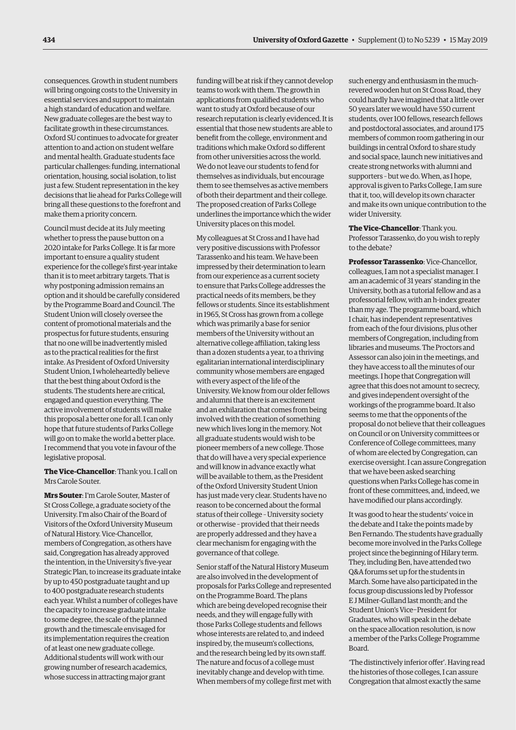consequences. Growth in student numbers will bring ongoing costs to the University in essential services and support to maintain a high standard of education and welfare. New graduate colleges are the best way to facilitate growth in these circumstances. Oxford SU continues to advocate for greater attention to and action on student welfare and mental health. Graduate students face particular challenges: funding, international orientation, housing, social isolation, to list just a few. Student representation in the key decisions that lie ahead for Parks College will bring all these questions to the forefront and make them a priority concern.

Council must decide at its July meeting whether to press the pause button on a 2020 intake for Parks College. It is far more important to ensure a quality student experience for the college's first-year intake than it is to meet arbitrary targets. That is why postponing admission remains an option and it should be carefully considered by the Programme Board and Council. The Student Union will closely oversee the content of promotional materials and the prospectus for future students, ensuring that no one will be inadvertently misled as to the practical realities for the first intake. As President of Oxford University Student Union, I wholeheartedly believe that the best thing about Oxford is the students. The students here are critical, engaged and question everything. The active involvement of students will make this proposal a better one for all. I can only hope that future students of Parks College will go on to make the world a better place. I recommend that you vote in favour of the legislative proposal.

**The Vice-Chancellor**: Thank you. I call on Mrs Carole Souter.

**Mrs Souter**: I'm Carole Souter, Master of St Cross College, a graduate society of the University. I'm also Chair of the Board of Visitors of the Oxford University Museum of Natural History. Vice-Chancellor, members of Congregation, as others have said, Congregation has already approved the intention, in the University's five-year Strategic Plan, to increase its graduate intake by up to 450 postgraduate taught and up to 400 postgraduate research students each year. Whilst a number of colleges have the capacity to increase graduate intake to some degree, the scale of the planned growth and the timescale envisaged for its implementation requires the creation of at least one new graduate college. Additional students will work with our growing number of research academics, whose success in attracting major grant

funding will be at risk if they cannot develop teams to work with them. The growth in applications from qualified students who want to study at Oxford because of our research reputation is clearly evidenced. It is essential that those new students are able to benefit from the college, environment and traditions which make Oxford so different from other universities across the world. We do not leave our students to fend for themselves as individuals, but encourage them to see themselves as active members of both their department and their college. The proposed creation of Parks College underlines the importance which the wider University places on this model.

My colleagues at St Cross and I have had very positive discussions with Professor Tarassenko and his team. We have been impressed by their determination to learn from our experience as a current society to ensure that Parks College addresses the practical needs of its members, be they fellows or students. Since its establishment in 1965, St Cross has grown from a college which was primarily a base for senior members of the University without an alternative college affiliation, taking less than a dozen students a year, to a thriving egalitarian international interdisciplinary community whose members are engaged with every aspect of the life of the University. We know from our older fellows and alumni that there is an excitement and an exhilaration that comes from being involved with the creation of something new which lives long in the memory. Not all graduate students would wish to be pioneer members of a new college. Those that do will have a very special experience and will know in advance exactly what will be available to them, as the President of the Oxford University Student Union has just made very clear. Students have no reason to be concerned about the formal status of their college *–* University society or otherwise *–* provided that their needs are properly addressed and they have a clear mechanism for engaging with the governance of that college.

Senior staff of the Natural History Museum are also involved in the development of proposals for Parks College and represented on the Programme Board. The plans which are being developed recognise their needs, and they will engage fully with those Parks College students and fellows whose interests are related to, and indeed inspired by, the museum's collections, and the research being led by its own staff. The nature and focus of a college must inevitably change and develop with time. When members of my college first met with

such energy and enthusiasm in the muchrevered wooden hut on St Cross Road, they could hardly have imagined that a little over 50 years later we would have 550 current students, over 100 fellows, research fellows and postdoctoral associates, and around 175 members of common room gathering in our buildings in central Oxford to share study and social space, launch new initiatives and create strong networks with alumni and supporters *–* but we do. When, as I hope, approval is given to Parks College, I am sure that it, too, will develop its own character and make its own unique contribution to the wider University.

**The Vice-Chancellor**: Thank you. Professor Tarassenko, do you wish to reply to the debate?

**Professor Tarassenko**: Vice-Chancellor, colleagues, I am not a specialist manager. I am an academic of 31 years' standing in the University, both as a tutorial fellow and as a professorial fellow, with an h-index greater than my age. The programme board, which I chair, has independent representatives from each of the four divisions, plus other members of Congregation, including from libraries and museums. The Proctors and Assessor can also join in the meetings, and they have access to all the minutes of our meetings. I hope that Congregation will agree that this does not amount to secrecy, and gives independent oversight of the workings of the programme board. It also seems to me that the opponents of the proposal do not believe that their colleagues on Council or on University committees or Conference of College committees, many of whom are elected by Congregation, can exercise oversight. I can assure Congregation that we have been asked searching questions when Parks College has come in front of these committees, and, indeed, we have modified our plans accordingly.

It was good to hear the students' voice in the debate and I take the points made by Ben Fernando. The students have gradually become more involved in the Parks College project since the beginning of Hilary term. They, including Ben, have attended two Q&A forums set up for the students in March. Some have also participated in the focus group discussions led by Professor E J Milner-Gulland last month; and the Student Union's Vice−President for Graduates, who will speak in the debate on the space allocation resolution, is now a member of the Parks College Programme Board.

'The distinctively inferior offer'. Having read the histories of those colleges, I can assure Congregation that almost exactly the same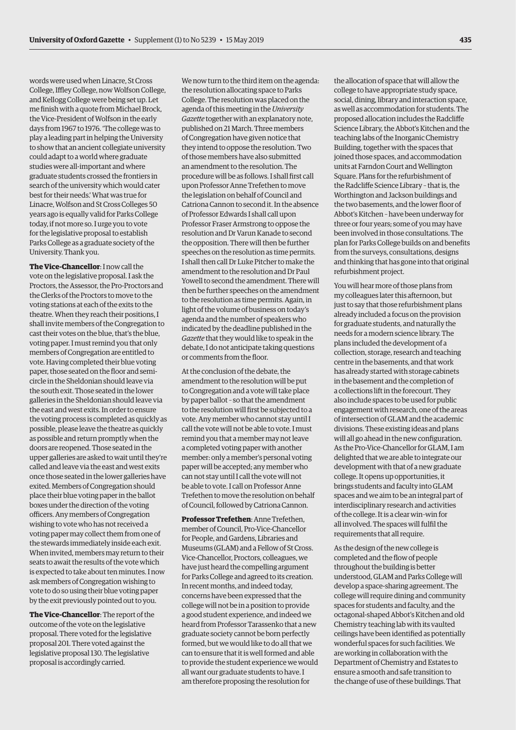words were used when Linacre, St Cross College, Iffley College, now Wolfson College, and Kellogg College were being set up. Let me finish with a quote from Michael Brock, the Vice-President of Wolfson in the early days from 1967 to 1976. 'The college was to play a leading part in helping the University to show that an ancient collegiate university could adapt to a world where graduate studies were all-important and where graduate students crossed the frontiers in search of the university which would cater best for their needs.' What was true for Linacre, Wolfson and St Cross Colleges 50 years ago is equally valid for Parks College today, if not more so. I urge you to vote for the legislative proposal to establish Parks College as a graduate society of the University. Thank you.

**The Vice-Chancellor**: I now call the vote on the legislative proposal. I ask the Proctors, the Assessor, the Pro-Proctors and the Clerks of the Proctors to move to the voting stations at each of the exits to the theatre. When they reach their positions, I shall invite members of the Congregation to cast their votes on the blue, that's the blue, voting paper. I must remind you that only members of Congregation are entitled to vote. Having completed their blue voting paper, those seated on the floor and semicircle in the Sheldonian should leave via the south exit. Those seated in the lower galleries in the Sheldonian should leave via the east and west exits. In order to ensure the voting process is completed as quickly as possible, please leave the theatre as quickly as possible and return promptly when the doors are reopened. Those seated in the upper galleries are asked to wait until they're called and leave via the east and west exits once those seated in the lower galleries have exited. Members of Congregation should place their blue voting paper in the ballot boxes under the direction of the voting officers. Any members of Congregation wishing to vote who has not received a voting paper may collect them from one of the stewards immediately inside each exit. When invited, members may return to their seats to await the results of the vote which is expected to take about ten minutes. I now ask members of Congregation wishing to vote to do so using their blue voting paper by the exit previously pointed out to you.

**The Vice-Chancellor**: The report of the outcome of the vote on the legislative proposal. There voted for the legislative proposal 201. There voted against the legislative proposal 130. The legislative proposal is accordingly carried.

We now turn to the third item on the agenda: the resolution allocating space to Parks College. The resolution was placed on the agenda of this meeting in the *University Gazette* together with an explanatory note, published on 21 March. Three members of Congregation have given notice that they intend to oppose the resolution. Two of those members have also submitted an amendment to the resolution. The procedure will be as follows. I shall first call upon Professor Anne Trefethen to move the legislation on behalf of Council and Catriona Cannon to second it. In the absence of Professor Edwards I shall call upon Professor Fraser Armstrong to oppose the resolution and Dr Varun Kanade to second the opposition. There will then be further speeches on the resolution as time permits. I shall then call Dr Luke Pitcher to make the amendment to the resolution and Dr Paul Yowell to second the amendment. There will then be further speeches on the amendment to the resolution as time permits. Again, in light of the volume of business on today's agenda and the number of speakers who indicated by the deadline published in the *Gazette* that they would like to speak in the debate, I do not anticipate taking questions or comments from the floor.

At the conclusion of the debate, the amendment to the resolution will be put to Congregation and a vote will take place by paper ballot *–* so that the amendment to the resolution will first be subjected to a vote. Any member who cannot stay until I call the vote will not be able to vote. I must remind you that a member may not leave a completed voting paper with another member: only a member's personal voting paper will be accepted; any member who can not stay until I call the vote will not be able to vote. I call on Professor Anne Trefethen to move the resolution on behalf of Council, followed by Catriona Cannon.

**Professor Trefethen**: Anne Trefethen, member of Council, Pro-Vice-Chancellor for People, and Gardens, Libraries and Museums (GLAM) and a Fellow of St Cross. Vice-Chancellor, Proctors, colleagues, we have just heard the compelling argument for Parks College and agreed to its creation. In recent months, and indeed today, concerns have been expressed that the college will not be in a position to provide a good student experience, and indeed we heard from Professor Tarassenko that a new graduate society cannot be born perfectly formed, but we would like to do all that we can to ensure that it is well formed and able to provide the student experience we would all want our graduate students to have. I am therefore proposing the resolution for

the allocation of space that will allow the college to have appropriate study space, social, dining, library and interaction space, as well as accommodation for students. The proposed allocation includes the Radcliffe Science Library, the Abbot's Kitchen and the teaching labs of the Inorganic Chemistry Building, together with the spaces that joined those spaces, and accommodation units at Farndon Court and Wellington Square. Plans for the refurbishment of the Radcliffe Science Library *–* that is, the Worthington and Jackson buildings and the two basements, and the lower floor of Abbot's Kitchen *–* have been underway for three or four years; some of you may have been involved in those consultations. The plan for Parks College builds on and benefits from the surveys, consultations, designs and thinking that has gone into that original refurbishment project.

You will hear more of those plans from my colleagues later this afternoon, but just to say that those refurbishment plans already included a focus on the provision for graduate students, and naturally the needs for a modern science library. The plans included the development of a collection, storage, research and teaching centre in the basements, and that work has already started with storage cabinets in the basement and the completion of a collections lift in the forecourt. They also include spaces to be used for public engagement with research, one of the areas of intersection of GLAM and the academic divisions. These existing ideas and plans will all go ahead in the new configuration. As the Pro-Vice-Chancellor for GLAM, I am delighted that we are able to integrate our development with that of a new graduate college. It opens up opportunities, it brings students and faculty into GLAM spaces and we aim to be an integral part of interdisciplinary research and activities of the college. It is a clear win–win for all involved. The spaces will fulfil the requirements that all require.

As the design of the new college is completed and the flow of people throughout the building is better understood, GLAM and Parks College will develop a space-sharing agreement. The college will require dining and community spaces for students and faculty, and the octagonal-shaped Abbot's Kitchen and old Chemistry teaching lab with its vaulted ceilings have been identified as potentially wonderful spaces for such facilities. We are working in collaboration with the Department of Chemistry and Estates to ensure a smooth and safe transition to the change of use of these buildings. That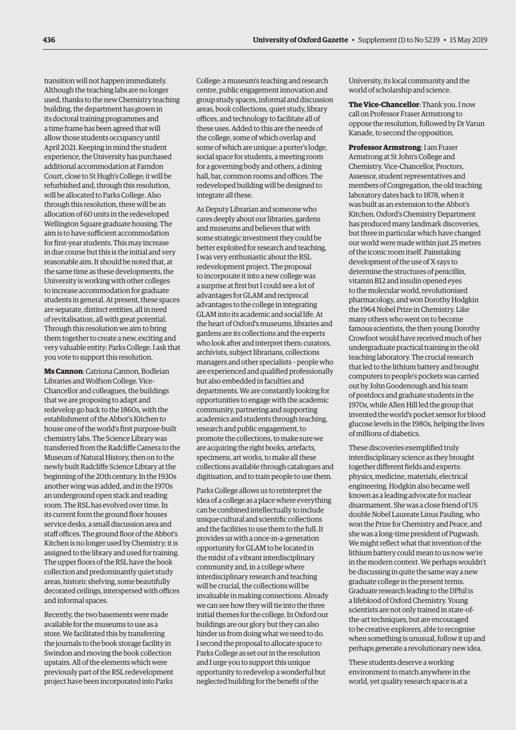transition will not happen immediately. Although the teaching labs are no longer used, thanks to the new Chemistry teaching building, the department has grown in its doctoral training programmes and a time frame has been agreed that will allow those students occupancy until April 2021. Keeping in mind the student experience, the University has purchased additional accommodation at Farndon Court, close to St Hugh's College; it will be refurbished and, through this resolution, will be allocated to Parks College. Also through this resolution, there will be an allocation of 60 units in the redeveloped Wellington Square graduate housing. The aim is to have sufficient accommodation for first-year students. This may increase in due course but this is the initial and very reasonable aim. It should be noted that, at the same time as these developments, the University is working with other colleges to increase accommodation for graduate students in general. At present, these spaces are separate, distinct entities, all in need of revitalisation, all with great potential. Through this resolution we aim to bring them together to create a new, exciting and very valuable entity: Parks College. I ask that you vote to support this resolution.

**Ms Cannon**: Catriona Cannon, Bodleian Libraries and Wolfson College. Vice-Chancellor and colleagues, the buildings that we are proposing to adapt and redevelop go back to the 1860s, with the establishment of the Abbot's Kitchen to house one of the world's first purpose-built chemistry labs. The Science Library was transferred from the Radcliffe Camera to the Museum of Natural History, then on to the newly built Radcliffe Science Library at the beginning of the 20th century. In the 1930s another wing was added, and in the 1970s an underground open stack and reading room. The RSL has evolved over time. In its current form the ground floor houses service desks, a small discussion area and staff offices. The ground floor of the Abbot's Kitchen is no longer used by Chemistry; it is assigned to the library and used for training. The upper floors of the RSL have the book collection and predominantly quiet study areas, historic shelving, some beautifully decorated ceilings, interspersed with offices and informal spaces.

Recently, the two basements were made available for the museums to use as a store. We facilitated this by transferring the journals to the book storage facility in Swindon and moving the book collection upstairs. All of the elements which were previously part of the RSL redevelopment project have been incorporated into Parks

College: a museum's teaching and research centre, public engagement innovation and group study spaces, informal and discussion areas, book collections, quiet study, library offices, and technology to facilitate all of these uses. Added to this are the needs of the college, some of which overlap and some of which are unique: a porter's lodge, social space for students, a meeting room for a governing body and others, a dining hall, bar, common rooms and offices. The redeveloped building will be designed to integrate all these.

As Deputy Librarian and someone who cares deeply about our libraries, gardens and museums and believes that with some strategic investment they could be better exploited for research and teaching, I was very enthusiastic about the RSL redevelopment project. The proposal to incorporate it into a new college was a surprise at first but I could see a lot of advantages for GLAM and reciprocal advantages to the college in integrating GLAM into its academic and social life. At the heart of Oxford's museums, libraries and gardens are its collections and the experts who look after and interpret them: curators, archivists, subject librarians, collections managers and other specialists *–* people who are experienced and qualified professionally but also embedded in faculties and departments. We are constantly looking for opportunities to engage with the academic community, partnering and supporting academics and students through teaching, research and public engagement, to promote the collections, to make sure we are acquiring the right books, artefacts, specimens, art works, to make all these collections available through catalogues and digitisation, and to train people to use them.

Parks College allows us to reinterpret the idea of a college as a place where everything can be combined intellectually to include unique cultural and scientific collections and the facilities to use them to the full. It provides us with a once-in-a-generation opportunity for GLAM to be located in the midst of a vibrant interdisciplinary community and, in a college where interdisciplinary research and teaching will be crucial, the collections will be invaluable in making connections. Already we can see how they will tie into the three initial themes for the college. In Oxford our buildings are our glory but they can also hinder us from doing what we need to do. I second the proposal to allocate space to Parks College as set out in the resolution and I urge you to support this unique opportunity to redevelop a wonderful but neglected building for the benefit of the

University, its local community and the world of scholarship and science.

**The Vice-Chancellor**: Thank you. I now call on Professor Fraser Armstrong to oppose the resolution, followed by Dr Varun Kanade, to second the opposition.

**Professor Armstrong**: I am Fraser Armstrong at St John's College and Chemistry. Vice-Chancellor, Proctors, Assessor, student representatives and members of Congregation, the old teaching laboratory dates back to 1878, when it was built as an extension to the Abbot's Kitchen. Oxford's Chemistry Department has produced many landmark discoveries, but three in particular which have changed our world were made within just 25 metres of the iconic room itself. Painstaking development of the use of X-rays to determine the structures of penicillin, vitamin B12 and insulin opened eyes to the molecular world, revolutionised pharmacology, and won Dorothy Hodgkin the 1964 Nobel Prize in Chemistry. Like many others who went on to become famous scientists, the then young Dorothy Crowfoot would have received much of her undergraduate practical training in the old teaching laboratory. The crucial research that led to the lithium battery and brought computers to people's pockets was carried out by John Goodenough and his team of postdocs and graduate students in the 1970s, while Allen Hill led the group that invented the world's pocket sensor for blood glucose levels in the 1980s, helping the lives of millions of diabetics.

These discoveries exemplified truly interdisciplinary science as they brought together different fields and experts: physics, medicine, materials, electrical engineering. Hodgkin also became well known as a leading advocate for nuclear disarmament. She was a close friend of US double Nobel Laureate Linus Pauling, who won the Prize for Chemistry and Peace, and she was a long-time president of Pugwash. We might reflect what that invention of the lithium battery could mean to us now we're in the modern context. We perhaps wouldn't be discussing in quite the same way a new graduate college in the present terms. Graduate research leading to the DPhil is a lifeblood of Oxford Chemistry. Young scientists are not only trained in state-ofthe-art techniques, but are encouraged to be creative explorers, able to recognise when something is unusual, follow it up and perhaps generate a revolutionary new idea.

These students deserve a working environment to match anywhere in the world, yet quality research space is at a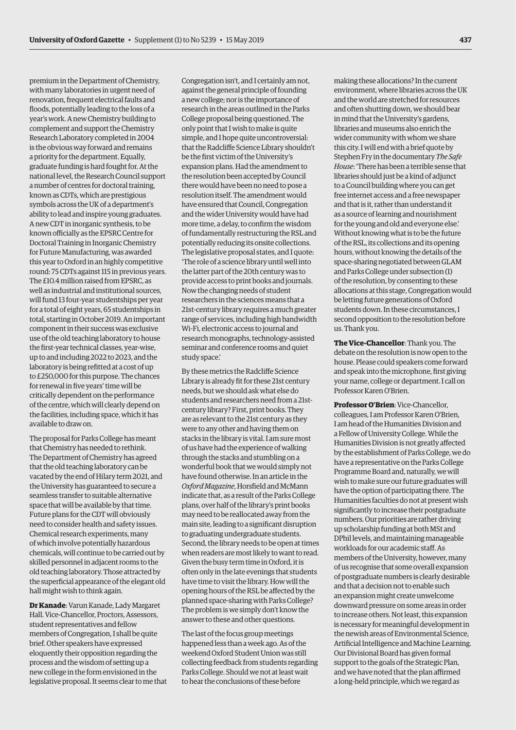premium in the Department of Chemistry, with many laboratories in urgent need of renovation, frequent electrical faults and floods, potentially leading to the loss of a year's work. A new Chemistry building to complement and support the Chemistry Research Laboratory completed in 2004 is the obvious way forward and remains a priority for the department. Equally, graduate funding is hard fought for. At the national level, the Research Council support a number of centres for doctoral training, known as CDTs, which are prestigious symbols across the UK of a department's ability to lead and inspire young graduates. A new CDT in inorganic synthesis, to be known officially as the EPSRC Centre for Doctoral Training in Inorganic Chemistry for Future Manufacturing, was awarded this year to Oxford in an highly competitive round: 75 CDTs against 115 in previous years. The £10.4 million raised from EPSRC, as well as industrial and institutional sources, will fund 13 four-year studentships per year for a total of eight years, 65 studentships in total, starting in October 2019. An important component in their success was exclusive use of the old teaching laboratory to house the first-year technical classes, year-wise, up to and including 2022 to 2023, and the laboratory is being refitted at a cost of up to £250,000 for this purpose. The chances for renewal in five years' time will be critically dependent on the performance of the centre, which will clearly depend on the facilities, including space, which it has available to draw on.

The proposal for Parks College has meant that Chemistry has needed to rethink. The Department of Chemistry has agreed that the old teaching laboratory can be vacated by the end of Hilary term 2021, and the University has guaranteed to secure a seamless transfer to suitable alternative space that will be available by that time. Future plans for the CDT will obviously need to consider health and safety issues. Chemical research experiments, many of which involve potentially hazardous chemicals, will continue to be carried out by skilled personnel in adjacent rooms to the old teaching laboratory. Those attracted by the superficial appearance of the elegant old hall might wish to think again.

**Dr Kanade**: Varun Kanade, Lady Margaret Hall. Vice-Chancellor, Proctors, Assessors, student representatives and fellow members of Congregation, I shall be quite brief. Other speakers have expressed eloquently their opposition regarding the process and the wisdom of setting up a new college in the form envisioned in the legislative proposal. It seems clear to me that

Congregation isn't, and I certainly am not, against the general principle of founding a new college; nor is the importance of research in the areas outlined in the Parks College proposal being questioned. The only point that I wish to make is quite simple, and I hope quite uncontroversial: that the Radcliffe Science Library shouldn't be the first victim of the University's expansion plans. Had the amendment to the resolution been accepted by Council there would have been no need to pose a resolution itself. The amendment would have ensured that Council, Congregation and the wider University would have had more time, a delay, to confirm the wisdom of fundamentally restructuring the RSL and potentially reducing its onsite collections. The legislative proposal states, and I quote: 'The role of a science library until well into the latter part of the 20th century was to provide access to print books and journals. Now the changing needs of student researchers in the sciences means that a 21st-century library requires a much greater range of services, including high bandwidth Wi-Fi, electronic access to journal and research monographs, technology-assisted seminar and conference rooms and quiet study space.'

By these metrics the Radcliffe Science Library is already fit for these 21st century needs, but we should ask what else do students and researchers need from a 21stcentury library? First, print books. They are as relevant to the 21st century as they were to any other and having them on stacks in the library is vital. I am sure most of us have had the experience of walking through the stacks and stumbling on a wonderful book that we would simply not have found otherwise. In an article in the *Oxford Magazine*, Horsfield and McMann indicate that, as a result of the Parks College plans, over half of the library's print books may need to be reallocated away from the main site, leading to a significant disruption to graduating undergraduate students. Second, the library needs to be open at times when readers are most likely to want to read. Given the busy term time in Oxford, it is often only in the late evenings that students have time to visit the library. How will the opening hours of the RSL be affected by the planned space-sharing with Parks College? The problem is we simply don't know the answer to these and other questions.

The last of the focus group meetings happened less than a week ago. As of the weekend Oxford Student Union was still collecting feedback from students regarding Parks College. Should we not at least wait to hear the conclusions of these before

making these allocations? In the current environment, where libraries across the UK and the world are stretched for resources and often shutting down, we should bear in mind that the University's gardens, libraries and museums also enrich the wider community with whom we share this city. I will end with a brief quote by Stephen Fry in the documentary *The Safe House*: 'There has been a terrible sense that libraries should just be a kind of adjunct to a Council building where you can get free internet access and a free newspaper and that is it, rather than understand it as a source of learning and nourishment for the young and old and everyone else.' Without knowing what is to be the future of the RSL, its collections and its opening hours, without knowing the details of the space-sharing negotiated between GLAM and Parks College under subsection (1) of the resolution, by consenting to these allocations at this stage, Congregation would be letting future generations of Oxford students down. In these circumstances, I second opposition to the resolution before us. Thank you.

**The Vice-Chancellor**: Thank you. The debate on the resolution is now open to the house. Please could speakers come forward and speak into the microphone, first giving your name, college or department. I call on Professor Karen O'Brien.

**Professor O'Brien**: Vice-Chancellor, colleagues, I am Professor Karen O'Brien, I am head of the Humanities Division and a Fellow of University College. While the Humanities Division is not greatly affected by the establishment of Parks College, we do have a representative on the Parks College Programme Board and, naturally, we will wish to make sure our future graduates will have the option of participating there. The Humanities faculties do not at present wish significantly to increase their postgraduate numbers. Our priorities are rather driving up scholarship funding at both MSt and DPhil levels, and maintaining manageable workloads for our academic staff. As members of the University, however, many of us recognise that some overall expansion of postgraduate numbers is clearly desirable and that a decision not to enable such an expansion might create unwelcome downward pressure on some areas in order to increase others. Not least, this expansion is necessary for meaningful development in the newish areas of Environmental Science, Artificial Intelligence and Machine Learning. Our Divisional Board has given formal support to the goals of the Strategic Plan, and we have noted that the plan affirmed a long-held principle, which we regard as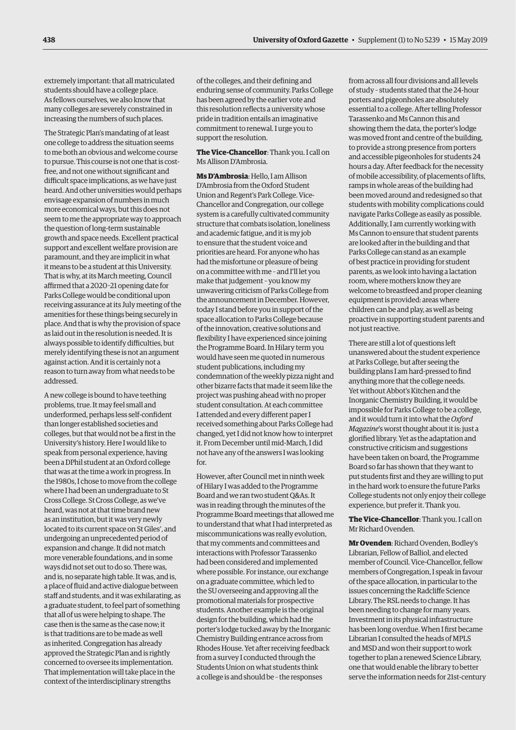extremely important: that all matriculated students should have a college place. As fellows ourselves, we also know that many colleges are severely constrained in increasing the numbers of such places.

The Strategic Plan's mandating of at least one college to address the situation seems to me both an obvious and welcome course to pursue. This course is not one that is costfree, and not one without significant and difficult space implications, as we have just heard. And other universities would perhaps envisage expansion of numbers in much more economical ways, but this does not seem to me the appropriate way to approach the question of long-term sustainable growth and space needs. Excellent practical support and excellent welfare provision are paramount, and they are implicit in what it means to be a student at this University. That is why, at its March meeting, Council affirmed that a 2020–21 opening date for Parks College would be conditional upon receiving assurance at its July meeting of the amenities for these things being securely in place. And that is why the provision of space as laid out in the resolution is needed. It is always possible to identify difficulties, but merely identifying these is not an argument against action. And it is certainly not a reason to turn away from what needs to be addressed.

A new college is bound to have teething problems, true. It may feel small and underformed, perhaps less self-confident than longer established societies and colleges, but that would not be a first in the University's history. Here I would like to speak from personal experience, having been a DPhil student at an Oxford college that was at the time a work in progress. In the 1980s, I chose to move from the college where I had been an undergraduate to St Cross College. St Cross College, as we've heard, was not at that time brand new as an institution, but it was very newly located to its current space on St Giles', and undergoing an unprecedented period of expansion and change. It did not match more venerable foundations, and in some ways did not set out to do so. There was, and is, no separate high table. It was, and is, a place of fluid and active dialogue between staff and students, and it was exhilarating, as a graduate student, to feel part of something that all of us were helping to shape. The case then is the same as the case now; it is that traditions are to be made as well as inherited. Congregation has already approved the Strategic Plan and is rightly concerned to oversee its implementation. That implementation will take place in the context of the interdisciplinary strengths

of the colleges, and their defining and enduring sense of community. Parks College has been agreed by the earlier vote and this resolution reflects a university whose pride in tradition entails an imaginative commitment to renewal. I urge you to support the resolution.

**The Vice-Chancellor**: Thank you. I call on Ms Allison D'Ambrosia.

**Ms D'Ambrosia**: Hello, I am Allison D'Ambrosia from the Oxford Student Union and Regent's Park College. Vice-Chancellor and Congregation, our college system is a carefully cultivated community structure that combats isolation, loneliness and academic fatigue, and it is my job to ensure that the student voice and priorities are heard. For anyone who has had the misfortune or pleasure of being on a committee with me *–* and I'll let you make that judgement *–* you know my unwavering criticism of Parks College from the announcement in December. However, today I stand before you in support of the space allocation to Parks College because of the innovation, creative solutions and flexibility I have experienced since joining the Programme Board. In Hilary term you would have seen me quoted in numerous student publications, including my condemnation of the weekly pizza night and other bizarre facts that made it seem like the project was pushing ahead with no proper student consultation. At each committee I attended and every different paper I received something about Parks College had changed, yet I did not know how to interpret it. From December until mid-March, I did not have any of the answers I was looking for.

However, after Council met in ninth week of Hilary I was added to the Programme Board and we ran two student Q&As. It was in reading through the minutes of the Programme Board meetings that allowed me to understand that what I had interpreted as miscommunications was really evolution, that my comments and committees and interactions with Professor Tarassenko had been considered and implemented where possible. For instance, our exchange on a graduate committee, which led to the SU overseeing and approving all the promotional materials for prospective students. Another example is the original design for the building, which had the porter's lodge tucked away by the Inorganic Chemistry Building entrance across from Rhodes House. Yet after receiving feedback from a survey I conducted through the Students Union on what students think a college is and should be – the responses

from across all four divisions and all levels of study – students stated that the 24-hour porters and pigeonholes are absolutely essential to a college. After telling Professor Tarassenko and Ms Cannon this and showing them the data, the porter's lodge was moved front and centre of the building, to provide a strong presence from porters and accessible pigeonholes for students 24 hours a day. After feedback for the necessity of mobile accessibility, of placements of lifts, ramps in whole areas of the building had been moved around and redesigned so that students with mobility complications could navigate Parks College as easily as possible. Additionally, I am currently working with Ms Cannon to ensure that student parents are looked after in the building and that Parks College can stand as an example of best practice in providing for student parents, as we look into having a lactation room, where mothers know they are welcome to breastfeed and proper cleaning equipment is provided: areas where children can be and play, as well as being proactive in supporting student parents and not just reactive.

There are still a lot of questions left unanswered about the student experience at Parks College, but after seeing the building plans I am hard-pressed to find anything more that the college needs. Yet without Abbot's Kitchen and the Inorganic Chemistry Building, it would be impossible for Parks College to be a college, and it would turn it into what the *Oxford Magazine*'s worst thought about it is: just a glorified library. Yet as the adaptation and constructive criticism and suggestions have been taken on board, the Programme Board so far has shown that they want to put students first and they are willing to put in the hard work to ensure the future Parks College students not only enjoy their college experience, but prefer it. Thank you.

### **The Vice-Chancellor**: Thank you. I call on Mr Richard Ovenden.

**Mr Ovenden**: Richard Ovenden, Bodley's Librarian, Fellow of Balliol, and elected member of Council. Vice-Chancellor, fellow members of Congregation, I speak in favour of the space allocation, in particular to the issues concerning the Radcliffe Science Library. The RSL needs to change. It has been needing to change for many years. Investment in its physical infrastructure has been long overdue. When I first became Librarian I consulted the heads of MPLS and MSD and won their support to work together to plan a renewed Science Library, one that would enable the library to better serve the information needs for 21st-century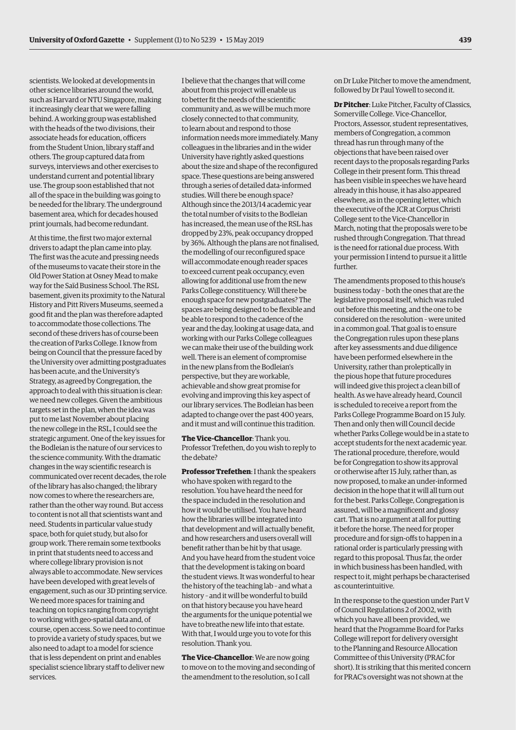scientists. We looked at developments in other science libraries around the world, such as Harvard or NTU Singapore, making it increasingly clear that we were falling behind. A working group was established with the heads of the two divisions, their associate heads for education, officers from the Student Union, library staff and others. The group captured data from surveys, interviews and other exercises to understand current and potential library use. The group soon established that not all of the space in the building was going to be needed for the library. The underground basement area, which for decades housed print journals, had become redundant.

At this time, the first two major external drivers to adapt the plan came into play. The first was the acute and pressing needs of the museums to vacate their store in the Old Power Station at Osney Mead to make way for the Saïd Business School. The RSL basement, given its proximity to the Natural History and Pitt Rivers Museums, seemed a good fit and the plan was therefore adapted to accommodate those collections. The second of these drivers has of course been the creation of Parks College. I know from being on Council that the pressure faced by the University over admitting postgraduates has been acute, and the University's Strategy, as agreed by Congregation, the approach to deal with this situation is clear: we need new colleges. Given the ambitious targets set in the plan, when the idea was put to me last November about placing the new college in the RSL, I could see the strategic argument. One of the key issues for the Bodleian is the nature of our services to the science community. With the dramatic changes in the way scientific research is communicated over recent decades, the role of the library has also changed; the library now comes to where the researchers are, rather than the other way round. But access to content is not all that scientists want and need. Students in particular value study space, both for quiet study, but also for group work. There remain some textbooks in print that students need to access and where college library provision is not always able to accommodate. New services have been developed with great levels of engagement, such as our 3D printing service. We need more spaces for training and teaching on topics ranging from copyright to working with geo-spatial data and, of course, open access. So we need to continue to provide a variety of study spaces, but we also need to adapt to a model for science that is less dependent on print and enables specialist science library staff to deliver new services.

I believe that the changes that will come about from this project will enable us to better fit the needs of the scientific community and, as we will be much more closely connected to that community, to learn about and respond to those information needs more immediately. Many colleagues in the libraries and in the wider University have rightly asked questions about the size and shape of the reconfigured space. These questions are being answered through a series of detailed data-informed studies. Will there be enough space? Although since the 2013/14 academic year the total number of visits to the Bodleian has increased, the mean use of the RSL has dropped by 23%, peak occupancy dropped by 36%. Although the plans are not finalised, the modelling of our reconfigured space will accommodate enough reader spaces to exceed current peak occupancy, even allowing for additional use from the new Parks College constituency. Will there be enough space for new postgraduates? The spaces are being designed to be flexible and be able to respond to the cadence of the year and the day, looking at usage data, and working with our Parks College colleagues we can make their use of the building work well. There is an element of compromise in the new plans from the Bodleian's perspective, but they are workable, achievable and show great promise for evolving and improving this key aspect of our library services. The Bodleian has been adapted to change over the past 400 years, and it must and will continue this tradition.

**The Vice-Chancellor**: Thank you. Professor Trefethen, do you wish to reply to the debate?

**Professor Trefethen**: I thank the speakers who have spoken with regard to the resolution. You have heard the need for the space included in the resolution and how it would be utilised. You have heard how the libraries will be integrated into that development and will actually benefit, and how researchers and users overall will benefit rather than be hit by that usage. And you have heard from the student voice that the development is taking on board the student views. It was wonderful to hear the history of the teaching lab *–* and what a history *–* and it will be wonderful to build on that history because you have heard the arguments for the unique potential we have to breathe new life into that estate. With that, I would urge you to vote for this resolution. Thank you.

**The Vice-Chancellor**: We are now going to move on to the moving and seconding of the amendment to the resolution, so I call

on Dr Luke Pitcher to move the amendment, followed by Dr Paul Yowell to second it.

**Dr Pitcher**: Luke Pitcher, Faculty of Classics, Somerville College. Vice-Chancellor, Proctors, Assessor, student representatives, members of Congregation, a common thread has run through many of the objections that have been raised over recent days to the proposals regarding Parks College in their present form. This thread has been visible in speeches we have heard already in this house, it has also appeared elsewhere, as in the opening letter, which the executive of the JCR at Corpus Christi College sent to the Vice-Chancellor in March, noting that the proposals were to be rushed through Congregation. That thread is the need for rational due process. With your permission I intend to pursue it a little further.

The amendments proposed to this house's business today *–* both the ones that are the legislative proposal itself, which was ruled out before this meeting, and the one to be considered on the resolution *–* were united in a common goal. That goal is to ensure the Congregation rules upon these plans after key assessments and due diligence have been performed elsewhere in the University, rather than proleptically in the pious hope that future procedures will indeed give this project a clean bill of health. As we have already heard, Council is scheduled to receive a report from the Parks College Programme Board on 15 July. Then and only then will Council decide whether Parks College would be in a state to accept students for the next academic year. The rational procedure, therefore, would be for Congregation to show its approval or otherwise after 15 July, rather than, as now proposed, to make an under-informed decision in the hope that it will all turn out for the best. Parks College, Congregation is assured, will be a magnificent and glossy cart. That is no argument at all for putting it before the horse. The need for proper procedure and for sign-offs to happen in a rational order is particularly pressing with regard to this proposal. Thus far, the order in which business has been handled, with respect to it, might perhaps be characterised as counterintuitive.

In the response to the question under Part V of Council Regulations 2 of 2002, with which you have all been provided, we heard that the Programme Board for Parks College will report for delivery oversight to the Planning and Resource Allocation Committee of this University (PRAC for short). It is striking that this merited concern for PRAC's oversight was not shown at the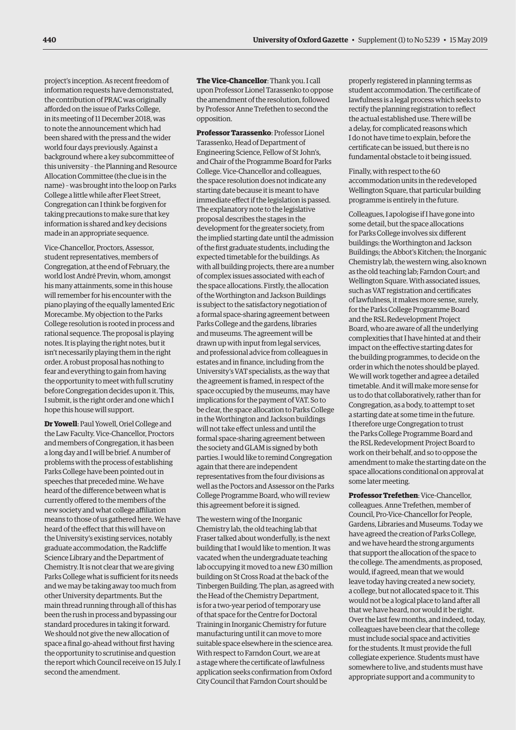project's inception. As recent freedom of information requests have demonstrated, the contribution of PRAC was originally afforded on the issue of Parks College, in its meeting of 11 December 2018, was to note the announcement which had been shared with the press and the wider world four days previously. Against a background where a key subcommittee of this university *–* the Planning and Resource Allocation Committee (the clue is in the name) *–* was brought into the loop on Parks College a little while after Fleet Street, Congregation can I think be forgiven for taking precautions to make sure that key information is shared and key decisions made in an appropriate sequence.

Vice-Chancellor, Proctors, Assessor, student representatives, members of Congregation, at the end of February, the world lost André Previn, whom, amongst his many attainments, some in this house will remember for his encounter with the piano playing of the equally lamented Eric Morecambe. My objection to the Parks College resolution is rooted in process and rational sequence. The proposal is playing notes. It is playing the right notes, but it isn't necessarily playing them in the right order. A robust proposal has nothing to fear and everything to gain from having the opportunity to meet with full scrutiny before Congregation decides upon it. This, I submit, is the right order and one which I hope this house will support.

**Dr Yowell**: Paul Yowell, Oriel College and the Law Faculty. Vice-Chancellor, Proctors and members of Congregation, it has been a long day and I will be brief. A number of problems with the process of establishing Parks College have been pointed out in speeches that preceded mine. We have heard of the difference between what is currently offered to the members of the new society and what college affiliation means to those of us gathered here. We have heard of the effect that this will have on the University's existing services, notably graduate accommodation, the Radcliffe Science Library and the Department of Chemistry. It is not clear that we are giving Parks College what is sufficient for its needs and we may be taking away too much from other University departments. But the main thread running through all of this has been the rush in process and bypassing our standard procedures in taking it forward. We should not give the new allocation of space a final go-ahead without first having the opportunity to scrutinise and question the report which Council receive on 15 July. I second the amendment.

**The Vice-Chancellor**: Thank you. I call upon Professor Lionel Tarassenko to oppose the amendment of the resolution, followed by Professor Anne Trefethen to second the opposition.

**Professor Tarassenko**: Professor Lionel Tarassenko, Head of Department of Engineering Science, Fellow of St John's, and Chair of the Programme Board for Parks College. Vice-Chancellor and colleagues, the space resolution does not indicate any starting date because it is meant to have immediate effect if the legislation is passed. The explanatory note to the legislative proposal describes the stages in the development for the greater society, from the implied starting date until the admission of the first graduate students, including the expected timetable for the buildings. As with all building projects, there are a number of complex issues associated with each of the space allocations. Firstly, the allocation of the Worthington and Jackson Buildings is subject to the satisfactory negotiation of a formal space-sharing agreement between Parks College and the gardens, libraries and museums. The agreement will be drawn up with input from legal services, and professional advice from colleagues in estates and in finance, including from the University's VAT specialists, as the way that the agreement is framed, in respect of the space occupied by the museums, may have implications for the payment of VAT. So to be clear, the space allocation to Parks College in the Worthington and Jackson buildings will not take effect unless and until the formal space-sharing agreement between the society and GLAM is signed by both parties. I would like to remind Congregation again that there are independent representatives from the four divisions as well as the Poctors and Assessor on the Parks College Programme Board, who will review this agreement before it is signed.

The western wing of the Inorganic Chemistry lab, the old teaching lab that Fraser talked about wonderfully, is the next building that I would like to mention. It was vacated when the undergraduate teaching lab occupying it moved to a new £30 million building on St Cross Road at the back of the Tinbergen Building. The plan, as agreed with the Head of the Chemistry Department, is for a two-year period of temporary use of that space for the Centre for Doctoral Training in Inorganic Chemistry for future manufacturing until it can move to more suitable space elsewhere in the science area. With respect to Farndon Court, we are at a stage where the certificate of lawfulness application seeks confirmation from Oxford City Council that Farndon Court should be

properly registered in planning terms as student accommodation. The certificate of lawfulness is a legal process which seeks to rectify the planning registration to reflect the actual established use. There will be a delay, for complicated reasons which I do not have time to explain, before the certificate can be issued, but there is no fundamental obstacle to it being issued.

Finally, with respect to the 60 accommodation units in the redeveloped Wellington Square, that particular building programme is entirely in the future.

Colleagues, I apologise if I have gone into some detail, but the space allocations for Parks College involves six different buildings: the Worthington and Jackson Buildings; the Abbot's Kitchen; the Inorganic Chemistry lab, the western wing, also known as the old teaching lab; Farndon Court; and Wellington Square. With associated issues, such as VAT registration and certificates of lawfulness, it makes more sense, surely, for the Parks College Programme Board and the RSL Redevelopment Project Board, who are aware of all the underlying complexities that I have hinted at and their impact on the effective starting dates for the building programmes, to decide on the order in which the notes should be played. We will work together and agree a detailed timetable. And it will make more sense for us to do that collaboratively, rather than for Congregation, as a body, to attempt to set a starting date at some time in the future. I therefore urge Congregation to trust the Parks College Programme Board and the RSL Redevelopment Project Board to work on their behalf, and so to oppose the amendment to make the starting date on the space allocations conditional on approval at some later meeting.

**Professor Trefethen**: Vice-Chancellor, colleagues. Anne Trefethen, member of Council, Pro-Vice-Chancellor for People, Gardens, Libraries and Museums. Today we have agreed the creation of Parks College, and we have heard the strong arguments that support the allocation of the space to the college. The amendments, as proposed, would, if agreed, mean that we would leave today having created a new society, a college, but not allocated space to it. This would not be a logical place to land after all that we have heard, nor would it be right. Over the last few months, and indeed, today, colleagues have been clear that the college must include social space and activities for the students. It must provide the full collegiate experience. Students must have somewhere to live, and students must have appropriate support and a community to